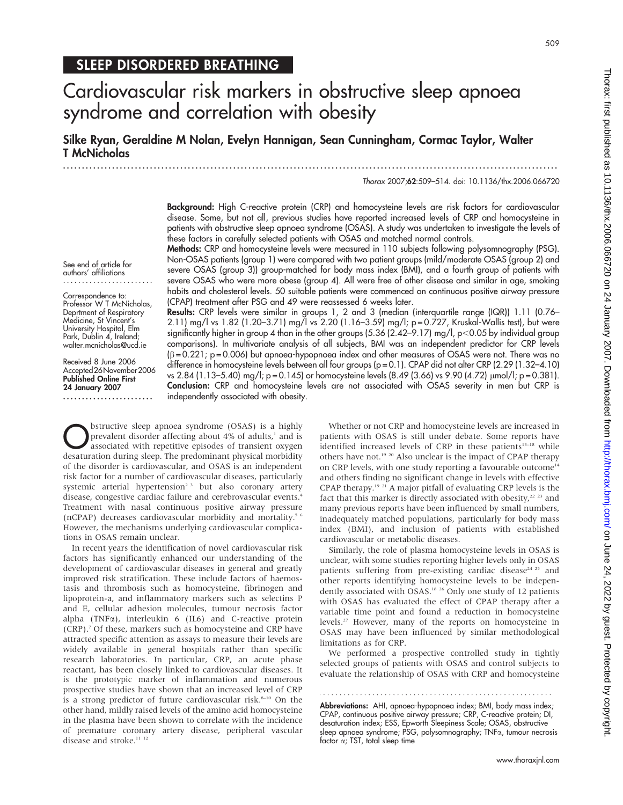# Cardiovascular risk markers in obstructive sleep apnoea syndrome and correlation with obesity

Silke Ryan, Geraldine M Nolan, Evelyn Hannigan, Sean Cunningham, Cormac Taylor, Walter T McNicholas

...................................................................................................................................

Thorax 2007;62:509–514. doi: 10.1136/thx.2006.066720

Background: High C-reactive protein (CRP) and homocysteine levels are risk factors for cardiovascular disease. Some, but not all, previous studies have reported increased levels of CRP and homocysteine in patients with obstructive sleep apnoea syndrome (OSAS). A study was undertaken to investigate the levels of these factors in carefully selected patients with OSAS and matched normal controls.

Methods: CRP and homocysteine levels were measured in 110 subjects following polysomnography (PSG). Non-OSAS patients (group 1) were compared with two patient groups (mild/moderate OSAS (group 2) and severe OSAS (group 3)) group-matched for body mass index (BMI), and a fourth group of patients with severe OSAS who were more obese (group 4). All were free of other disease and similar in age, smoking habits and cholesterol levels. 50 suitable patients were commenced on continuous positive airway pressure (CPAP) treatment after PSG and 49 were reassessed 6 weeks later.

See end of article for authors' affiliations ........................

Correspondence to: Professor W T McNicholas. Deprtment of Respiratory Medicine, St Vincent's University Hospital, Elm Park, Dublin 4, Ireland; walter.mcnicholas@ucd.ie

Received 8 June 2006 Accepted26November2006 Published Online First 24 January 2007 ........................

Results: CRP levels were similar in groups 1, 2 and 3 (median (interquartile range (IQR)) 1.11 (0.76– 2.11) mg/l vs 1.82 (1.20–3.71) mg/l vs 2.20 (1.16–3.59) mg/l; p = 0.727, Kruskal-Wallis test), but were significantly higher in group 4 than in the other groups (5.36 (2.42–9.17) mg/l, p<0.05 by individual group comparisons). In multivariate analysis of all subjects, BMI was an independent predictor for CRP levels  $(\beta = 0.221; p = 0.006)$  but apnoea-hypopnoea index and other measures of OSAS were not. There was no difference in homocysteine levels between all four groups (p = 0.1). CPAP did not alter CRP (2.29 (1.32–4.10) vs 2.84 (1.13–5.40) mg/l; p = 0.145) or homocysteine levels (8.49 (3.66) vs 9.90 (4.72)  $\mu$ mol/l; p = 0.381). Conclusion: CRP and homocysteine levels are not associated with OSAS severity in men but CRP is independently associated with obesity.

**O**bstructive sleep apnoea syndrome (OSAS) is a highly<br>prevalent disorder affecting about 4% of adults,<sup>1</sup> and is<br>associated with repetitive episodes of transient oxygen<br>deseturation during sleep. The predominant physical prevalent disorder affecting about 4% of adults,<sup>1</sup> and is desaturation during sleep. The predominant physical morbidity of the disorder is cardiovascular, and OSAS is an independent risk factor for a number of cardiovascular diseases, particularly systemic arterial hypertension<sup>2 3</sup> but also coronary artery disease, congestive cardiac failure and cerebrovascular events.<sup>4</sup> Treatment with nasal continuous positive airway pressure (nCPAP) decreases cardiovascular morbidity and mortality.5 6 However, the mechanisms underlying cardiovascular complications in OSAS remain unclear.

In recent years the identification of novel cardiovascular risk factors has significantly enhanced our understanding of the development of cardiovascular diseases in general and greatly improved risk stratification. These include factors of haemostasis and thrombosis such as homocysteine, fibrinogen and lipoprotein-a, and inflammatory markers such as selectins P and E, cellular adhesion molecules, tumour necrosis factor alpha (TNF $\alpha$ ), interleukin 6 (IL6) and C-reactive protein (CRP).7 Of these, markers such as homocysteine and CRP have attracted specific attention as assays to measure their levels are widely available in general hospitals rather than specific research laboratories. In particular, CRP, an acute phase reactant, has been closely linked to cardiovascular diseases. It is the prototypic marker of inflammation and numerous prospective studies have shown that an increased level of CRP is a strong predictor of future cardiovascular risk.<sup>8-10</sup> On the other hand, mildly raised levels of the amino acid homocysteine in the plasma have been shown to correlate with the incidence of premature coronary artery disease, peripheral vascular disease and stroke.<sup>11 12</sup>

Whether or not CRP and homocysteine levels are increased in patients with OSAS is still under debate. Some reports have identified increased levels of CRP in these patients<sup>13-18</sup> while others have not.19 20 Also unclear is the impact of CPAP therapy on CRP levels, with one study reporting a favourable outcome<sup>14</sup> and others finding no significant change in levels with effective CPAP therapy.19 21 A major pitfall of evaluating CRP levels is the fact that this marker is directly associated with obesity,<sup>22</sup> <sup>23</sup> and many previous reports have been influenced by small numbers, inadequately matched populations, particularly for body mass index (BMI), and inclusion of patients with established cardiovascular or metabolic diseases.

Similarly, the role of plasma homocysteine levels in OSAS is unclear, with some studies reporting higher levels only in OSAS patients suffering from pre-existing cardiac disease<sup>24 25</sup> and other reports identifying homocysteine levels to be independently associated with OSAS.<sup>18 26</sup> Only one study of 12 patients with OSAS has evaluated the effect of CPAP therapy after a variable time point and found a reduction in homocysteine levels.27 However, many of the reports on homocysteine in OSAS may have been influenced by similar methodological limitations as for CRP.

We performed a prospective controlled study in tightly selected groups of patients with OSAS and control subjects to evaluate the relationship of OSAS with CRP and homocysteine

Abbreviations: AHI, apnoea-hypopnoea index; BMI, body mass index; CPAP, continuous positive airway pressure; CRP, C-reactive protein; DI, desaturation index; ESS, Epworth Sleepiness Scale; OSAS, obstructive sleep apnoea syndrome; PSG, polysomnography; TNFa, tumour necrosis factor  $\alpha$ ; TST, total sleep time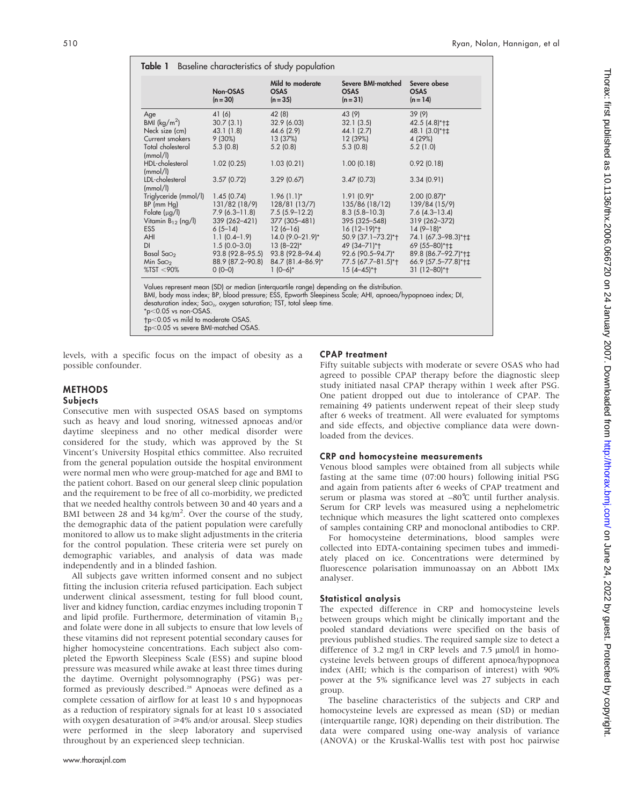| Table 1<br>Baseline characteristics of study population                                                                                                                     |                                                                                                                                                                          |                                                                                                                                                                               |                                                                                                                                                                                               |                                                                                                                                                                                                          |
|-----------------------------------------------------------------------------------------------------------------------------------------------------------------------------|--------------------------------------------------------------------------------------------------------------------------------------------------------------------------|-------------------------------------------------------------------------------------------------------------------------------------------------------------------------------|-----------------------------------------------------------------------------------------------------------------------------------------------------------------------------------------------|----------------------------------------------------------------------------------------------------------------------------------------------------------------------------------------------------------|
|                                                                                                                                                                             | Non-OSAS<br>$(n = 30)$                                                                                                                                                   | Mild to moderate<br><b>OSAS</b><br>$(n = 35)$                                                                                                                                 | Severe BMI-matched<br><b>OSAS</b><br>$(n=31)$                                                                                                                                                 | Severe obese<br><b>OSAS</b><br>$(n = 14)$                                                                                                                                                                |
| Age<br>BMI $(kq/m^2)$<br>Neck size (cm)<br>Current smokers<br>Total cholesterol                                                                                             | 41 (6)<br>30.7(3.1)<br>43.1(1.8)<br>$9(30\%)$<br>5.3(0.8)                                                                                                                | 42 (8)<br>32.9 (6.03)<br>44.6 (2.9)<br>13 (37%)<br>5.2(0.8)                                                                                                                   | 43 (9)<br>32.1(3.5)<br>44.1 (2.7)<br>12 (39%)<br>5.3(0.8)                                                                                                                                     | 39(9)<br>42.5 (4.8)*†‡<br>48.1 (3.0)*†‡<br>4 (29%)<br>5.2(1.0)                                                                                                                                           |
| (mmol/l)<br>HDL-cholesterol<br>(mmol/l)<br>LDL-cholesterol<br>(mmol/l)                                                                                                      | 1.02(0.25)<br>3.57(0.72)                                                                                                                                                 | 1.03(0.21)<br>3.29(0.67)                                                                                                                                                      | 1.00(0.18)<br>3.47(0.73)                                                                                                                                                                      | 0.92(0.18)<br>3.34(0.91)                                                                                                                                                                                 |
| Triglyceride (mmol/l)<br>$BP$ (mm $Hg$ )<br>Folate $(\mu g/l)$<br>Vitamin $B_{12}$ (ng/l)<br><b>ESS</b><br><b>AHI</b><br>DI<br>Basal Sa $\circ$<br>Min $Sao2$<br>%TST < 90% | 1.45(0.74)<br>131/82 (18/9)<br>$7.9(6.3 - 11.8)$<br>339 (262-421)<br>$6(5-14)$<br>$1.1(0.4-1.9)$<br>$1.5(0.0 - 3.0)$<br>93.8 (92.8-95.5)<br>88.9 (87.2-90.8)<br>$0(0-0)$ | $1.96(1.1)^{*}$<br>128/81(13/7)<br>$7.5(5.9-12.2)$<br>377 (305-481)<br>$12(6-16)$<br>14.0 (9.0-21.9)*<br>$13(8-22)*$<br>93.8 (92.8-94.4)<br>84.7 (81.4-86.9)*<br>$1(0-6)^{*}$ | $1.91(0.9)^{*}$<br>135/86 (18/12)<br>$8.3(5.8 - 10.3)$<br>395 (325 - 548)<br>$16(12-19)*+$<br>50.9 (37.1-73.2)*+<br>49 (34-71)*+<br>92.6 (90.5-94.7)*<br>77.5 (67.7-81.5)*+<br>$15(4 - 45)*+$ | $2.00$ (0.87) <sup>*</sup><br>139/84 (15/9)<br>$7.6$ (4.3-13.4)<br>319 (262-372)<br>$14(9-18)$ *<br>74.1 (67.3-98.3)*†‡<br>69 (55-80)*+±<br>89.8 (86.7-92.7)*+±<br>66.9 (57.5-77.8)*†±<br>$31(12 - 80)*$ |

Values represent mean (SD) or median (interquartile range) depending on the distribution.

BMI, body mass index; BP, blood pressure; ESS, Epworth Sleepiness Scale; AHI, apnoea/hypopnoea index; DI, desaturation index; SaO2, oxygen saturation; TST, total sleep time.

 $*p<0.05$  vs non-OSAS.

-p,0.05 vs mild to moderate OSAS.

`p,0.05 vs severe BMI-matched OSAS.

levels, with a specific focus on the impact of obesity as a possible confounder.

#### CPAP treatment

# **METHODS**

## **Subjects**

Consecutive men with suspected OSAS based on symptoms such as heavy and loud snoring, witnessed apnoeas and/or daytime sleepiness and no other medical disorder were considered for the study, which was approved by the St Vincent's University Hospital ethics committee. Also recruited from the general population outside the hospital environment were normal men who were group-matched for age and BMI to the patient cohort. Based on our general sleep clinic population and the requirement to be free of all co-morbidity, we predicted that we needed healthy controls between 30 and 40 years and a BMI between 28 and 34 kg/m<sup>2</sup>. Over the course of the study, the demographic data of the patient population were carefully monitored to allow us to make slight adjustments in the criteria for the control population. These criteria were set purely on demographic variables, and analysis of data was made independently and in a blinded fashion.

All subjects gave written informed consent and no subject fitting the inclusion criteria refused participation. Each subject underwent clinical assessment, testing for full blood count, liver and kidney function, cardiac enzymes including troponin T and lipid profile. Furthermore, determination of vitamin  $B_{12}$ and folate were done in all subjects to ensure that low levels of these vitamins did not represent potential secondary causes for higher homocysteine concentrations. Each subject also completed the Epworth Sleepiness Scale (ESS) and supine blood pressure was measured while awake at least three times during the daytime. Overnight polysomnography (PSG) was performed as previously described.<sup>28</sup> Apnoeas were defined as a complete cessation of airflow for at least 10 s and hypopnoeas as a reduction of respiratory signals for at least 10 s associated with oxygen desaturation of  $\geq 4\%$  and/or arousal. Sleep studies were performed in the sleep laboratory and supervised throughout by an experienced sleep technician.

Fifty suitable subjects with moderate or severe OSAS who had agreed to possible CPAP therapy before the diagnostic sleep study initiated nasal CPAP therapy within 1 week after PSG. One patient dropped out due to intolerance of CPAP. The remaining 49 patients underwent repeat of their sleep study after 6 weeks of treatment. All were evaluated for symptoms and side effects, and objective compliance data were downloaded from the devices.

#### CRP and homocysteine measurements

Venous blood samples were obtained from all subjects while fasting at the same time (07:00 hours) following initial PSG and again from patients after 6 weeks of CPAP treatment and serum or plasma was stored at −80℃ until further analysis. Serum for CRP levels was measured using a nephelometric technique which measures the light scattered onto complexes of samples containing CRP and monoclonal antibodies to CRP.

For homocysteine determinations, blood samples were collected into EDTA-containing specimen tubes and immediately placed on ice. Concentrations were determined by fluorescence polarisation immunoassay on an Abbott IMx analyser.

## Statistical analysis

The expected difference in CRP and homocysteine levels between groups which might be clinically important and the pooled standard deviations were specified on the basis of previous published studies. The required sample size to detect a difference of 3.2 mg/l in CRP levels and 7.5  $\mu$ mol/l in homocysteine levels between groups of different apnoea/hypopnoea index (AHI; which is the comparison of interest) with 90% power at the 5% significance level was 27 subjects in each group.

The baseline characteristics of the subjects and CRP and homocysteine levels are expressed as mean (SD) or median (interquartile range, IQR) depending on their distribution. The data were compared using one-way analysis of variance (ANOVA) or the Kruskal-Wallis test with post hoc pairwise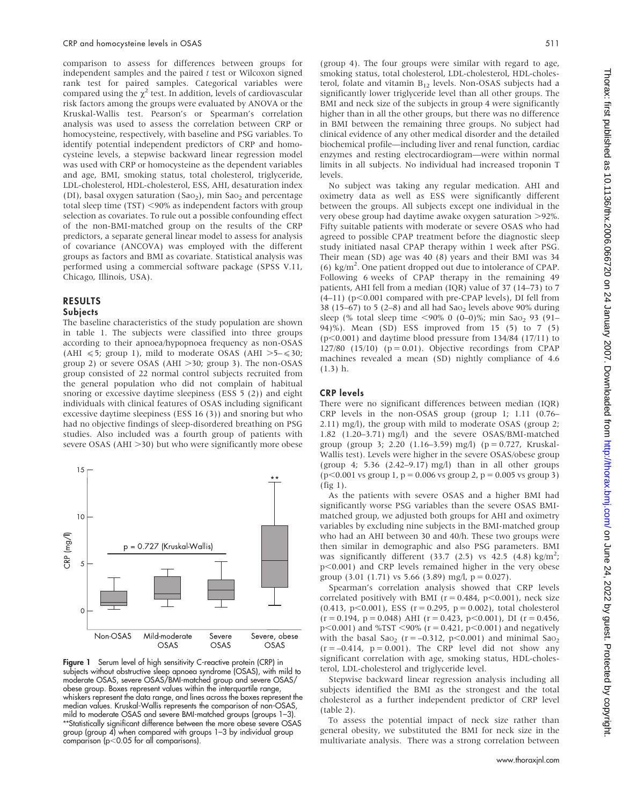comparison to assess for differences between groups for independent samples and the paired  $t$  test or Wilcoxon signed rank test for paired samples. Categorical variables were compared using the  $\chi^2$  test. In addition, levels of cardiovascular risk factors among the groups were evaluated by ANOVA or the Kruskal-Wallis test. Pearson's or Spearman's correlation analysis was used to assess the correlation between CRP or homocysteine, respectively, with baseline and PSG variables. To identify potential independent predictors of CRP and homocysteine levels, a stepwise backward linear regression model was used with CRP or homocysteine as the dependent variables and age, BMI, smoking status, total cholesterol, triglyceride, LDL-cholesterol, HDL-cholesterol, ESS, AHI, desaturation index (DI), basal oxygen saturation (Sao<sub>2</sub>), min Sao<sub>2</sub> and percentage total sleep time  $(TST)$  <90% as independent factors with group selection as covariates. To rule out a possible confounding effect of the non-BMI-matched group on the results of the CRP predictors, a separate general linear model to assess for analysis of covariance (ANCOVA) was employed with the different groups as factors and BMI as covariate. Statistical analysis was performed using a commercial software package (SPSS V.11, Chicago, Illinois, USA).

#### RESULTS Subjects

The baseline characteristics of the study population are shown in table 1. The subjects were classified into three groups according to their apnoea/hypopnoea frequency as non-OSAS (AHI  $\le 5$ ; group 1), mild to moderate OSAS (AHI  $>5-\le 30$ ; group 2) or severe OSAS (AHI  $>$ 30; group 3). The non-OSAS group consisted of 22 normal control subjects recruited from the general population who did not complain of habitual snoring or excessive daytime sleepiness (ESS 5 (2)) and eight individuals with clinical features of OSAS including significant excessive daytime sleepiness (ESS 16 (3)) and snoring but who had no objective findings of sleep-disordered breathing on PSG studies. Also included was a fourth group of patients with severe OSAS ( $AHI > 30$ ) but who were significantly more obese



Figure 1 Serum level of high sensitivity C-reactive protein (CRP) in subjects without obstructive sleep apnoea syndrome (OSAS), with mild to moderate OSAS, severe OSAS/BMI-matched group and severe OSAS/ obese group. Boxes represent values within the interquartile range, whiskers represent the data range, and lines across the boxes represent the median values. Kruskal-Wallis represents the comparison of non-OSAS, mild to moderate OSAS and severe BMI-matched groups (groups 1–3). \*\*Statistically significant difference between the more obese severe OSAS group (group 4) when compared with groups 1–3 by individual group  $\overline{\text{comparison}}$  (p<0.05 for all comparisons).

(group 4). The four groups were similar with regard to age, smoking status, total cholesterol, LDL-cholesterol, HDL-cholesterol, folate and vitamin  $B_{12}$  levels. Non-OSAS subjects had a significantly lower triglyceride level than all other groups. The BMI and neck size of the subjects in group 4 were significantly higher than in all the other groups, but there was no difference in BMI between the remaining three groups. No subject had clinical evidence of any other medical disorder and the detailed biochemical profile—including liver and renal function, cardiac enzymes and resting electrocardiogram—were within normal limits in all subjects. No individual had increased troponin T levels.

No subject was taking any regular medication. AHI and oximetry data as well as ESS were significantly different between the groups. All subjects except one individual in the very obese group had daytime awake oxygen saturation  $>92\%$ . Fifty suitable patients with moderate or severe OSAS who had agreed to possible CPAP treatment before the diagnostic sleep study initiated nasal CPAP therapy within 1 week after PSG. Their mean (SD) age was 40 (8) years and their BMI was 34 (6) kg/m<sup>2</sup> . One patient dropped out due to intolerance of CPAP. Following 6 weeks of CPAP therapy in the remaining 49 patients, AHI fell from a median (IQR) value of 37 (14–73) to 7  $(4–11)$  (p<0.001 compared with pre-CPAP levels), DI fell from 38 (15–67) to 5 (2–8) and all had  $Sao<sub>2</sub>$  levels above 90% during sleep (% total sleep time <90% 0 (0–0)%; min Sao<sub>2</sub> 93 (91– 94)%). Mean (SD) ESS improved from 15 (5) to 7 (5)  $(p<0.001)$  and daytime blood pressure from 134/84 (17/11) to  $127/80$  (15/10) ( $p = 0.01$ ). Objective recordings from CPAP machines revealed a mean (SD) nightly compliance of 4.6 (1.3) h.

## CRP levels

There were no significant differences between median (IQR) CRP levels in the non-OSAS group (group 1; 1.11 (0.76– 2.11) mg/l), the group with mild to moderate OSAS (group 2; 1.82 (1.20–3.71) mg/l) and the severe OSAS/BMI-matched group (group 3; 2.20 (1.16–3.59) mg/l) (p = 0.727, Kruskal-Wallis test). Levels were higher in the severe OSAS/obese group (group 4; 5.36  $(2.42-9.17)$  mg/l) than in all other groups  $(p<0.001 \text{ vs group } 1, p = 0.006 \text{ vs group } 2, p = 0.005 \text{ vs group } 3)$ (fig 1).

As the patients with severe OSAS and a higher BMI had significantly worse PSG variables than the severe OSAS BMImatched group, we adjusted both groups for AHI and oximetry variables by excluding nine subjects in the BMI-matched group who had an AHI between 30 and 40/h. These two groups were then similar in demographic and also PSG parameters. BMI was significantly different (33.7 (2.5) vs  $42.5$  (4.8) kg/m<sup>2</sup>;  $p<0.001$ ) and CRP levels remained higher in the very obese group (3.01 (1.71) vs 5.66 (3.89) mg/l,  $p = 0.027$ ).

Spearman's correlation analysis showed that CRP levels correlated positively with BMI ( $r = 0.484$ ,  $p < 0.001$ ), neck size (0.413, p $<0.001$ ), ESS (r = 0.295, p = 0.002), total cholesterol  $(r = 0.194, p = 0.048)$  AHI  $(r = 0.423, p < 0.001)$ , DI  $(r = 0.456,$  $p$ <0.001) and %TST <90% (r = 0.421, p<0.001) and negatively with the basal Sao<sub>2</sub> ( $r = -0.312$ ,  $p < 0.001$ ) and minimal Sao<sub>2</sub>  $(r = -0.414, p = 0.001)$ . The CRP level did not show any significant correlation with age, smoking status, HDL-cholesterol, LDL-cholesterol and triglyceride level.

Stepwise backward linear regression analysis including all subjects identified the BMI as the strongest and the total cholesterol as a further independent predictor of CRP level (table 2).

To assess the potential impact of neck size rather than general obesity, we substituted the BMI for neck size in the multivariate analysis. There was a strong correlation between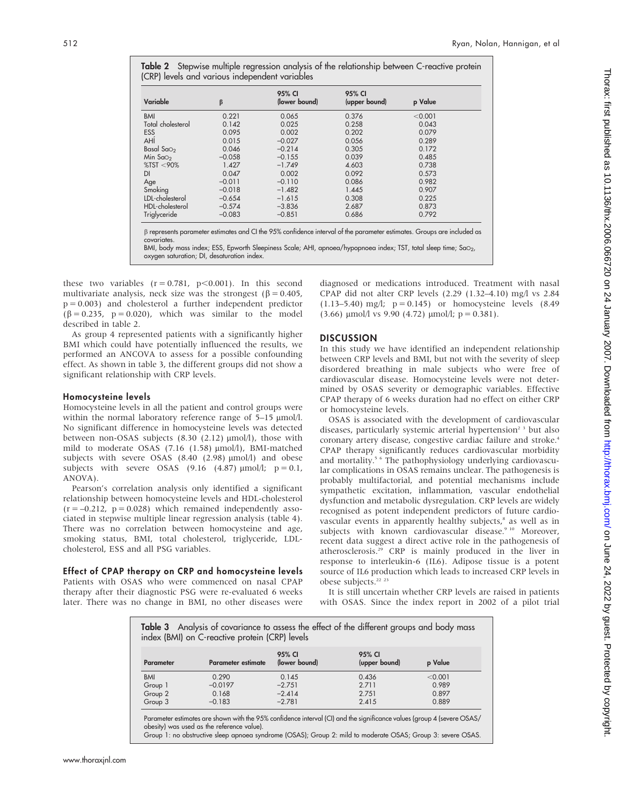Table 2 Stepwise multiple regression analysis of the relationship between C-reactive protein (CRP) levels and various independent variables

| Variable          | β        | 95% CI<br>(lower bound) | 95% CI<br>(upper bound) | p Value |
|-------------------|----------|-------------------------|-------------------------|---------|
| <b>BMI</b>        | 0.221    | 0.065                   | 0.376                   | < 0.001 |
| Total cholesterol | 0.142    | 0.025                   | 0.258                   | 0.043   |
| <b>ESS</b>        | 0.095    | 0.002                   | 0.202                   | 0.079   |
| AHÍ               | 0.015    | $-0.027$                | 0.056                   | 0.289   |
| Basal Sa $\circ$  | 0.046    | $-0.214$                | 0.305                   | 0.172   |
| Min $SqO2$        | $-0.058$ | $-0.155$                | 0.039                   | 0.485   |
| %TST < 90%        | 1.427    | $-1.749$                | 4.603                   | 0.738   |
| DI                | 0.047    | 0.002                   | 0.092                   | 0.573   |
| Age               | $-0.011$ | $-0.110$                | 0.086                   | 0.982   |
| Smoking           | $-0.018$ | $-1.482$                | 1.445                   | 0.907   |
| LDL-cholesterol   | $-0.654$ | $-1.615$                | 0.308                   | 0.225   |
| HDL-cholesterol   | $-0.574$ | $-3.836$                | 2.687                   | 0.873   |
| Triglyceride      | $-0.083$ | $-0.851$                | 0.686                   | 0.792   |

covariates.

BMI, body mass index; ESS, Epworth Sleepiness Scale; AHI, apnoea/hypopnoea index; TST, total sleep time; SaO<sub>2</sub>, oxygen saturation; DI, desaturation index.

these two variables  $(r = 0.781, p < 0.001)$ . In this second multivariate analysis, neck size was the strongest ( $\beta = 0.405$ ,  $p = 0.003$ ) and cholesterol a further independent predictor  $(\beta = 0.235, p = 0.020)$ , which was similar to the model described in table 2.

As group 4 represented patients with a significantly higher BMI which could have potentially influenced the results, we performed an ANCOVA to assess for a possible confounding effect. As shown in table 3, the different groups did not show a significant relationship with CRP levels.

## Homocysteine levels

Homocysteine levels in all the patient and control groups were within the normal laboratory reference range of 5–15  $\mu$ mol/l. No significant difference in homocysteine levels was detected between non-OSAS subjects  $(8.30 (2.12) \text{ }\mu\text{mol/l})$ , those with mild to moderate OSAS (7.16 (1.58)  $\mu$ mol/l), BMI-matched subjects with severe OSAS  $(8.40 (2.98) \text{ \mu mol/l})$  and obese subjects with severe OSAS (9.16 (4.87)  $\mu$ mol/l;  $p = 0.1$ , ANOVA).

Pearson's correlation analysis only identified a significant relationship between homocysteine levels and HDL-cholesterol  $(r = -0.212, p = 0.028)$  which remained independently associated in stepwise multiple linear regression analysis (table 4). There was no correlation between homocysteine and age, smoking status, BMI, total cholesterol, triglyceride, LDLcholesterol, ESS and all PSG variables.

Effect of CPAP therapy on CRP and homocysteine levels Patients with OSAS who were commenced on nasal CPAP therapy after their diagnostic PSG were re-evaluated 6 weeks later. There was no change in BMI, no other diseases were diagnosed or medications introduced. Treatment with nasal CPAP did not alter CRP levels (2.29 (1.32–4.10) mg/l vs 2.84 (1.13–5.40) mg/l;  $p = 0.145$ ) or homocysteine levels (8.49)  $(3.66)$  µmol $\ell$ l vs 9.90  $(4.72)$  µmol $\ell$ ; p = 0.381).

# **DISCUSSION**

In this study we have identified an independent relationship between CRP levels and BMI, but not with the severity of sleep disordered breathing in male subjects who were free of cardiovascular disease. Homocysteine levels were not determined by OSAS severity or demographic variables. Effective CPAP therapy of 6 weeks duration had no effect on either CRP or homocysteine levels.

OSAS is associated with the development of cardiovascular diseases, particularly systemic arterial hypertension<sup>2</sup><sup>3</sup> but also coronary artery disease, congestive cardiac failure and stroke.4 CPAP therapy significantly reduces cardiovascular morbidity and mortality.5 6 The pathophysiology underlying cardiovascular complications in OSAS remains unclear. The pathogenesis is probably multifactorial, and potential mechanisms include sympathetic excitation, inflammation, vascular endothelial dysfunction and metabolic dysregulation. CRP levels are widely recognised as potent independent predictors of future cardiovascular events in apparently healthy subjects,<sup>8</sup> as well as in subjects with known cardiovascular disease.<sup>9 10</sup> Moreover, recent data suggest a direct active role in the pathogenesis of atherosclerosis.29 CRP is mainly produced in the liver in response to interleukin-6 (IL6). Adipose tissue is a potent source of IL6 production which leads to increased CRP levels in obese subjects.22 23

It is still uncertain whether CRP levels are raised in patients with OSAS. Since the index report in 2002 of a pilot trial

| <b>Parameter</b> | <b>Parameter estimate</b> | 95% CI<br>(lower bound) | 95% CI<br>(upper bound) | p Value |
|------------------|---------------------------|-------------------------|-------------------------|---------|
| <b>BMI</b>       | 0.290                     | 0.145                   | 0.436                   | < 0.001 |
| Group 1          | $-0.0197$                 | $-2.751$                | 2.711                   | 0.989   |
| Group 2          | 0.168                     | $-2.414$                | 2.751                   | 0.897   |
| Group 3          | $-0.183$                  | $-2.781$                | 2.415                   | 0.889   |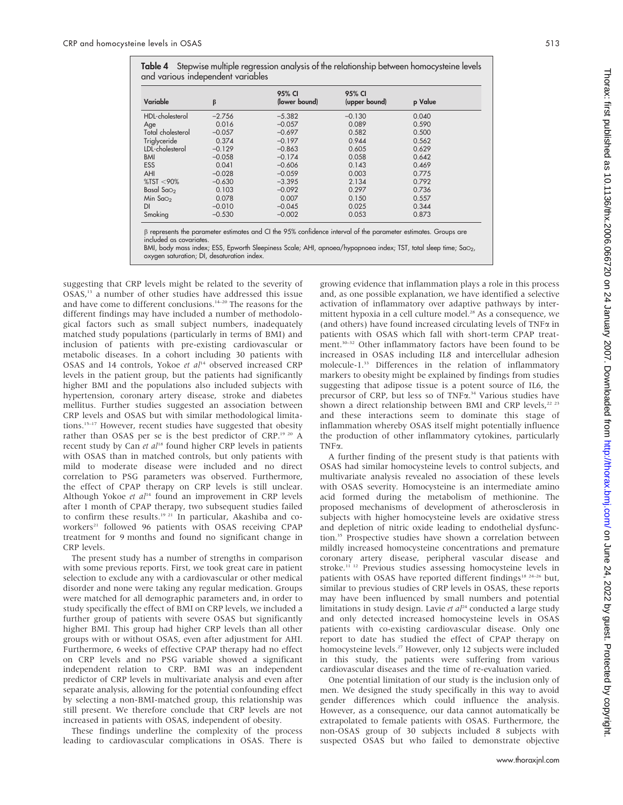Table 4 Stepwise multiple regression analysis of the relationship between homocysteine levels and various independent variables

| Variable                                                                                                             | β        | 95% CI<br>(lower bound) | 95% CI<br>(upper bound) | p Value |
|----------------------------------------------------------------------------------------------------------------------|----------|-------------------------|-------------------------|---------|
| HDL-cholesterol                                                                                                      | $-2.756$ | $-5.382$                | $-0.130$                | 0.040   |
|                                                                                                                      |          |                         |                         |         |
| Age                                                                                                                  | 0.016    | $-0.057$                | 0.089                   | 0.590   |
| Total cholesterol                                                                                                    | $-0.057$ | $-0.697$                | 0.582                   | 0.500   |
| Triglyceride                                                                                                         | 0.374    | $-0.197$                | 0.944                   | 0.562   |
| LDL-cholesterol                                                                                                      | $-0.129$ | $-0.863$                | 0.605                   | 0.629   |
| <b>BMI</b>                                                                                                           | $-0.058$ | $-0.174$                | 0.058                   | 0.642   |
| <b>ESS</b>                                                                                                           | 0.041    | $-0.606$                | 0.143                   | 0.469   |
| <b>AHI</b>                                                                                                           | $-0.028$ | $-0.059$                | 0.003                   | 0.775   |
| %TST < 90%                                                                                                           | $-0.630$ | $-3.395$                | 2.134                   | 0.792   |
| Basal Sa $\circ$                                                                                                     | 0.103    | $-0.092$                | 0.297                   | 0.736   |
| Min $Sao2$                                                                                                           | 0.078    | 0.007                   | 0.150                   | 0.557   |
| DI                                                                                                                   | $-0.010$ | $-0.045$                | 0.025                   | 0.344   |
| Smoking                                                                                                              | $-0.530$ | $-0.002$                | 0.053                   | 0.873   |
| $\beta$ represents the parameter estimates and CI the 95% confidence interval of the parameter estimates. Groups are |          |                         |                         |         |

included as covariate

BMI, body mass index; ESS, Epworth Sleepiness Scale; AHI, apnoea/hypopnoea index; TST, total sleep time; SaO<sub>2</sub>, oxygen saturation; DI, desaturation index.

suggesting that CRP levels might be related to the severity of OSAS,<sup>13</sup> a number of other studies have addressed this issue and have come to different conclusions.<sup>14-20</sup> The reasons for the different findings may have included a number of methodological factors such as small subject numbers, inadequately matched study populations (particularly in terms of BMI) and inclusion of patients with pre-existing cardiovascular or metabolic diseases. In a cohort including 30 patients with OSAS and 14 controls, Yokoe et  $al<sup>14</sup>$  observed increased CRP levels in the patient group, but the patients had significantly higher BMI and the populations also included subjects with hypertension, coronary artery disease, stroke and diabetes mellitus. Further studies suggested an association between CRP levels and OSAS but with similar methodological limitations.<sup>15-17</sup> However, recent studies have suggested that obesity rather than OSAS per se is the best predictor of CRP.19 20 A recent study by Can et  $al^{18}$  found higher CRP levels in patients with OSAS than in matched controls, but only patients with mild to moderate disease were included and no direct correlation to PSG parameters was observed. Furthermore, the effect of CPAP therapy on CRP levels is still unclear. Although Yokoe et  $al<sup>14</sup>$  found an improvement in CRP levels after 1 month of CPAP therapy, two subsequent studies failed to confirm these results.<sup>19 21</sup> In particular, Akashiba and coworkers<sup>21</sup> followed 96 patients with OSAS receiving CPAP treatment for 9 months and found no significant change in CRP levels.

The present study has a number of strengths in comparison with some previous reports. First, we took great care in patient selection to exclude any with a cardiovascular or other medical disorder and none were taking any regular medication. Groups were matched for all demographic parameters and, in order to study specifically the effect of BMI on CRP levels, we included a further group of patients with severe OSAS but significantly higher BMI. This group had higher CRP levels than all other groups with or without OSAS, even after adjustment for AHI. Furthermore, 6 weeks of effective CPAP therapy had no effect on CRP levels and no PSG variable showed a significant independent relation to CRP. BMI was an independent predictor of CRP levels in multivariate analysis and even after separate analysis, allowing for the potential confounding effect by selecting a non-BMI-matched group, this relationship was still present. We therefore conclude that CRP levels are not increased in patients with OSAS, independent of obesity.

These findings underline the complexity of the process leading to cardiovascular complications in OSAS. There is growing evidence that inflammation plays a role in this process and, as one possible explanation, we have identified a selective activation of inflammatory over adaptive pathways by intermittent hypoxia in a cell culture model.<sup>28</sup> As a consequence, we (and others) have found increased circulating levels of TNF $\alpha$  in patients with OSAS which fall with short-term CPAP treatment.30–32 Other inflammatory factors have been found to be increased in OSAS including IL8 and intercellular adhesion molecule-1.33 Differences in the relation of inflammatory markers to obesity might be explained by findings from studies suggesting that adipose tissue is a potent source of IL6, the precursor of CRP, but less so of TNF $\alpha$ .<sup>34</sup> Various studies have shown a direct relationship between BMI and CRP levels, $22$   $23$ and these interactions seem to dominate this stage of inflammation whereby OSAS itself might potentially influence the production of other inflammatory cytokines, particularly  $TNF\alpha$ .

A further finding of the present study is that patients with OSAS had similar homocysteine levels to control subjects, and multivariate analysis revealed no association of these levels with OSAS severity. Homocysteine is an intermediate amino acid formed during the metabolism of methionine. The proposed mechanisms of development of atherosclerosis in subjects with higher homocysteine levels are oxidative stress and depletion of nitric oxide leading to endothelial dysfunction.<sup>35</sup> Prospective studies have shown a correlation between mildly increased homocysteine concentrations and premature coronary artery disease, peripheral vascular disease and stroke.<sup>11 12</sup> Previous studies assessing homocysteine levels in patients with OSAS have reported different findings<sup>18 24-26</sup> but, similar to previous studies of CRP levels in OSAS, these reports may have been influenced by small numbers and potential limitations in study design. Lavie et  $al<sup>24</sup>$  conducted a large study and only detected increased homocysteine levels in OSAS patients with co-existing cardiovascular disease. Only one report to date has studied the effect of CPAP therapy on homocysteine levels.<sup>27</sup> However, only 12 subjects were included in this study, the patients were suffering from various cardiovascular diseases and the time of re-evaluation varied.

One potential limitation of our study is the inclusion only of men. We designed the study specifically in this way to avoid gender differences which could influence the analysis. However, as a consequence, our data cannot automatically be extrapolated to female patients with OSAS. Furthermore, the non-OSAS group of 30 subjects included 8 subjects with suspected OSAS but who failed to demonstrate objective